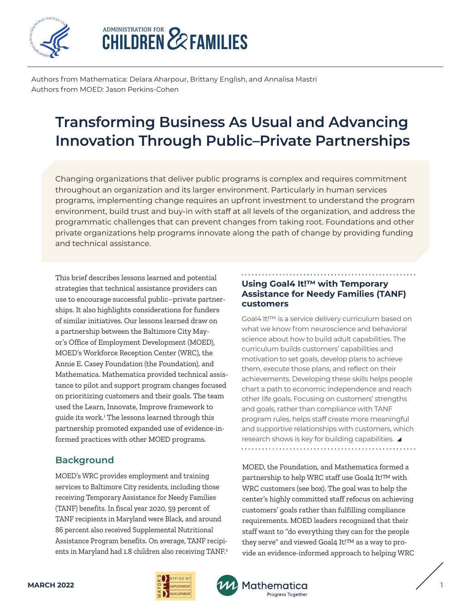

# **ADMINISTRATION FOR EXPEAMILIES**

Authors from Mathematica: Delara Aharpour, Brittany English, and Annalisa Mastri Authors from MOED: Jason Perkins-Cohen

# **Transforming Business As Usual and Advancing Innovation Through Public–Private Partnerships**

Changing organizations that deliver public programs is complex and requires commitment throughout an organization and its larger environment. Particularly in human services programs, implementing change requires an upfront investment to understand the program environment, build trust and buy-in with staff at all levels of the organization, and address the programmatic challenges that can prevent changes from taking root. Foundations and other private organizations help programs innovate along the path of change by providing funding and technical assistance.

This brief describes lessons learned and potential strategies that technical assistance providers can use to encourage successful public–private partnerships. It also highlights considerations for funders of similar initiatives. Our lessons learned draw on a partnership between the Baltimore City Mayor's Office of Employment Development (MOED), MOED's Workforce Reception Center (WRC), the Annie E. Casey Foundation (the Foundation), and Mathematica. Mathematica provided technical assistance to pilot and support program changes focused on prioritizing customers and their goals. The team used the Learn, Innovate, Improve framework to guide its work.1 The lessons learned through this partnership promoted expanded use of evidence-informed practices with other MOED programs.

# **Background**

MOED's WRC provides employment and training services to Baltimore City residents, including those receiving Temporary Assistance for Needy Families (TANF) benefits. In fiscal year 2020, 59 percent of TANF recipients in Maryland were Black, and around 86 percent also received Supplemental Nutritional Assistance Program benefits. On average, TANF recipients in Maryland had 1.8 children also receiving TANF.<sup>2</sup>

#### **Using Goal4 It!™ with Temporary Assistance for Needy Families (TANF) customers**

Goal4 It!™ is a service delivery curriculum based on what we know from neuroscience and behavioral science about how to build adult capabilities. The curriculum builds customers' capabilities and motivation to set goals, develop plans to achieve them, execute those plans, and reflect on their achievements. Developing these skills helps people chart a path to economic independence and reach other life goals. Focusing on customers' strengths and goals, rather than compliance with TANF program rules, helps staff create more meaningful and supportive relationships with customers, which research shows is key for building capabilities. 

MOED, the Foundation, and Mathematica formed a partnership to help WRC staff use Goal4 It!™ with WRC customers (see box). The goal was to help the center's highly committed staff refocus on achieving customers' goals rather than fulfilling compliance requirements. MOED leaders recognized that their staff want to "do everything they can for the people they serve" and viewed Goal4 It!™ as a way to provide an evidence-informed approach to helping WRC



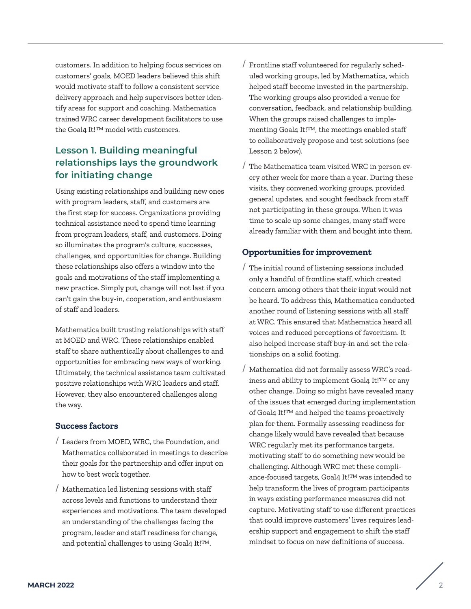customers. In addition to helping focus services on customers' goals, MOED leaders believed this shift would motivate staff to follow a consistent service delivery approach and help supervisors better identify areas for support and coaching. Mathematica trained WRC career development facilitators to use the Goal4 It!™ model with customers.

# **Lesson 1. Building meaningful relationships lays the groundwork for initiating change**

Using existing relationships and building new ones with program leaders, staff, and customers are the first step for success. Organizations providing technical assistance need to spend time learning from program leaders, staff, and customers. Doing so illuminates the program's culture, successes, challenges, and opportunities for change. Building these relationships also offers a window into the goals and motivations of the staff implementing a new practice. Simply put, change will not last if you can't gain the buy-in, cooperation, and enthusiasm of staff and leaders.

Mathematica built trusting relationships with staff at MOED and WRC. These relationships enabled staff to share authentically about challenges to and opportunities for embracing new ways of working. Ultimately, the technical assistance team cultivated positive relationships with WRC leaders and staff. However, they also encountered challenges along the way.

#### **Success factors**

- / Leaders from MOED, WRC, the Foundation, and Mathematica collaborated in meetings to describe their goals for the partnership and offer input on how to best work together.
- / Mathematica led listening sessions with staff across levels and functions to understand their experiences and motivations. The team developed an understanding of the challenges facing the program, leader and staff readiness for change, and potential challenges to using Goal4 It!™.
- / Frontline staff volunteered for regularly scheduled working groups, led by Mathematica, which helped staff become invested in the partnership. The working groups also provided a venue for conversation, feedback, and relationship building. When the groups raised challenges to implementing Goal4 It!™, the meetings enabled staff to collaboratively propose and test solutions (see Lesson 2 below).
- / The Mathematica team visited WRC in person every other week for more than a year. During these visits, they convened working groups, provided general updates, and sought feedback from staff not participating in these groups. When it was time to scale up some changes, many staff were already familiar with them and bought into them.

#### **Opportunities for improvement**

- / The initial round of listening sessions included only a handful of frontline staff, which created concern among others that their input would not be heard. To address this, Mathematica conducted another round of listening sessions with all staff at WRC. This ensured that Mathematica heard all voices and reduced perceptions of favoritism. It also helped increase staff buy-in and set the relationships on a solid footing.
- / Mathematica did not formally assess WRC's readiness and ability to implement Goal4 It!™ or any other change. Doing so might have revealed many of the issues that emerged during implementation of Goal4 It!™ and helped the teams proactively plan for them. Formally assessing readiness for change likely would have revealed that because WRC regularly met its performance targets, motivating staff to do something new would be challenging. Although WRC met these compliance-focused targets, Goal4 It!™ was intended to help transform the lives of program participants in ways existing performance measures did not capture. Motivating staff to use different practices that could improve customers' lives requires leadership support and engagement to shift the staff mindset to focus on new definitions of success.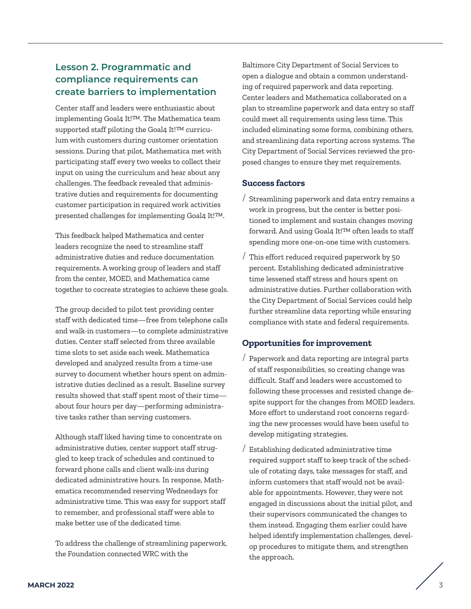## **Lesson 2. Programmatic and compliance requirements can create barriers to implementation**

Center staff and leaders were enthusiastic about implementing Goal4 It!™. The Mathematica team supported staff piloting the Goal4 It!™ curriculum with customers during customer orientation sessions. During that pilot, Mathematica met with participating staff every two weeks to collect their input on using the curriculum and hear about any challenges. The feedback revealed that administrative duties and requirements for documenting customer participation in required work activities presented challenges for implementing Goal4 It!™.

This feedback helped Mathematica and center leaders recognize the need to streamline staff administrative duties and reduce documentation requirements. A working group of leaders and staff from the center, MOED, and Mathematica came together to cocreate strategies to achieve these goals.

The group decided to pilot test providing center staff with dedicated time—free from telephone calls and walk-in customers—to complete administrative duties. Center staff selected from three available time slots to set aside each week. Mathematica developed and analyzed results from a time-use survey to document whether hours spent on administrative duties declined as a result. Baseline survey results showed that staff spent most of their time about four hours per day—performing administrative tasks rather than serving customers.

Although staff liked having time to concentrate on administrative duties, center support staff struggled to keep track of schedules and continued to forward phone calls and client walk-ins during dedicated administrative hours. In response, Mathematica recommended reserving Wednesdays for administrative time. This was easy for support staff to remember, and professional staff were able to make better use of the dedicated time.

To address the challenge of streamlining paperwork, the Foundation connected WRC with the

Baltimore City Department of Social Services to open a dialogue and obtain a common understanding of required paperwork and data reporting. Center leaders and Mathematica collaborated on a plan to streamline paperwork and data entry so staff could meet all requirements using less time. This included eliminating some forms, combining others, and streamlining data reporting across systems. The City Department of Social Services reviewed the proposed changes to ensure they met requirements.

#### **Success factors**

- / Streamlining paperwork and data entry remains a work in progress, but the center is better positioned to implement and sustain changes moving forward. And using Goal4 It!™ often leads to staff spending more one-on-one time with customers.
- / This effort reduced required paperwork by 50 percent. Establishing dedicated administrative time lessened staff stress and hours spent on administrative duties. Further collaboration with the City Department of Social Services could help further streamline data reporting while ensuring compliance with state and federal requirements.

#### **Opportunities for improvement**

- / Paperwork and data reporting are integral parts of staff responsibilities, so creating change was difficult. Staff and leaders were accustomed to following these processes and resisted change despite support for the changes from MOED leaders. More effort to understand root concerns regarding the new processes would have been useful to develop mitigating strategies.
- / Establishing dedicated administrative time required support staff to keep track of the schedule of rotating days, take messages for staff, and inform customers that staff would not be available for appointments. However, they were not engaged in discussions about the initial pilot, and their supervisors communicated the changes to them instead. Engaging them earlier could have helped identify implementation challenges, develop procedures to mitigate them, and strengthen the approach.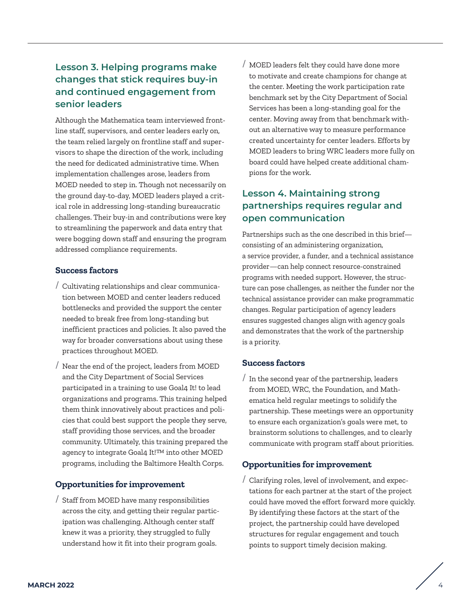# **Lesson 3. Helping programs make changes that stick requires buy-in and continued engagement from senior leaders**

Although the Mathematica team interviewed frontline staff, supervisors, and center leaders early on, the team relied largely on frontline staff and supervisors to shape the direction of the work, including the need for dedicated administrative time. When implementation challenges arose, leaders from MOED needed to step in. Though not necessarily on the ground day-to-day, MOED leaders played a critical role in addressing long-standing bureaucratic challenges. Their buy-in and contributions were key to streamlining the paperwork and data entry that were bogging down staff and ensuring the program addressed compliance requirements.

#### **Success factors**

- / Cultivating relationships and clear communication between MOED and center leaders reduced bottlenecks and provided the support the center needed to break free from long-standing but inefficient practices and policies. It also paved the way for broader conversations about using these practices throughout MOED.
- Near the end of the project, leaders from MOED and the City Department of Social Services participated in a training to use Goal4 It! to lead organizations and programs. This training helped them think innovatively about practices and policies that could best support the people they serve, staff providing those services, and the broader community. Ultimately, this training prepared the agency to integrate Goal4 It!™ into other MOED programs, including the Baltimore Health Corps.

#### **Opportunities for improvement**

/ Staff from MOED have many responsibilities across the city, and getting their regular participation was challenging. Although center staff knew it was a priority, they struggled to fully understand how it fit into their program goals.

/ MOED leaders felt they could have done more to motivate and create champions for change at the center. Meeting the work participation rate benchmark set by the City Department of Social Services has been a long-standing goal for the center. Moving away from that benchmark without an alternative way to measure performance created uncertainty for center leaders. Efforts by MOED leaders to bring WRC leaders more fully on board could have helped create additional champions for the work.

# **Lesson 4. Maintaining strong partnerships requires regular and open communication**

Partnerships such as the one described in this brief consisting of an administering organization, a service provider, a funder, and a technical assistance provider—can help connect resource-constrained programs with needed support. However, the structure can pose challenges, as neither the funder nor the technical assistance provider can make programmatic changes. Regular participation of agency leaders ensures suggested changes align with agency goals and demonstrates that the work of the partnership is a priority.

#### **Success factors**

/ In the second year of the partnership, leaders from MOED, WRC, the Foundation, and Mathematica held regular meetings to solidify the partnership. These meetings were an opportunity to ensure each organization's goals were met, to brainstorm solutions to challenges, and to clearly communicate with program staff about priorities.

#### **Opportunities for improvement**

/ Clarifying roles, level of involvement, and expectations for each partner at the start of the project could have moved the effort forward more quickly. By identifying these factors at the start of the project, the partnership could have developed structures for regular engagement and touch points to support timely decision making.